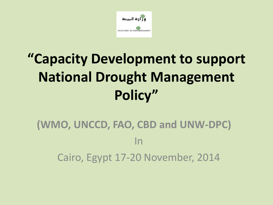

## **"Capacity Development to support National Drought Management Policy"**

#### **(WMO, UNCCD, FAO, CBD and UNW-DPC)** In Cairo, Egypt 17-20 November, 2014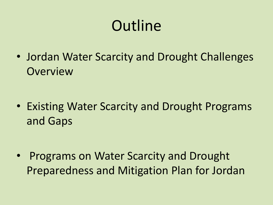# **Outline**

• Jordan Water Scarcity and Drought Challenges **Overview** 

• Existing Water Scarcity and Drought Programs and Gaps

• Programs on Water Scarcity and Drought Preparedness and Mitigation Plan for Jordan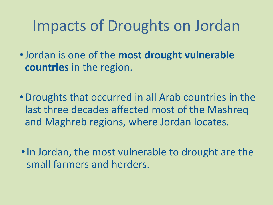### Impacts of Droughts on Jordan

•Jordan is one of the **most drought vulnerable countries** in the region.

- •Droughts that occurred in all Arab countries in the last three decades affected most of the Mashreq and Maghreb regions, where Jordan locates.
- In Jordan, the most vulnerable to drought are the small farmers and herders.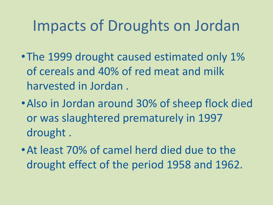### Impacts of Droughts on Jordan

- The 1999 drought caused estimated only 1% of cereals and 40% of red meat and milk harvested in Jordan .
- •Also in Jordan around 30% of sheep flock died or was slaughtered prematurely in 1997 drought .
- •At least 70% of camel herd died due to the drought effect of the period 1958 and 1962.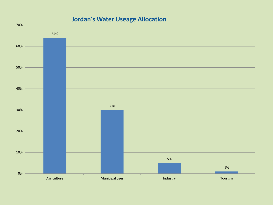#### **Jordan's Water Useage Allocation**

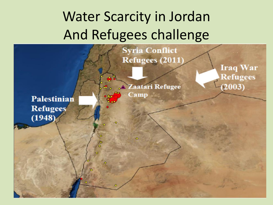## Water Scarcity in Jordan And Refugees challenge

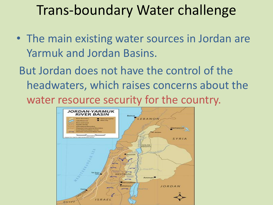#### Trans-boundary Water challenge

- The main existing water sources in Jordan are Yarmuk and Jordan Basins.
- But Jordan does not have the control of the headwaters, which raises concerns about the water resource security for the country.

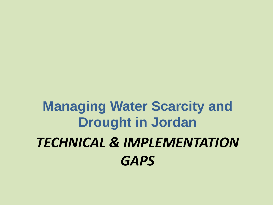## *TECHNICAL & IMPLEMENTATION GAPS*  **Managing Water Scarcity and Drought in Jordan**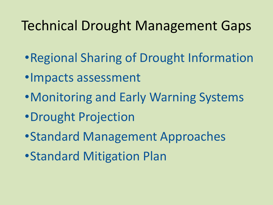#### Technical Drought Management Gaps

- •Regional Sharing of Drought Information
- •Impacts assessment
- •Monitoring and Early Warning Systems
- •Drought Projection
- •Standard Management Approaches
- •Standard Mitigation Plan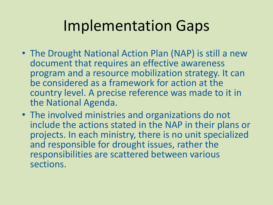## Implementation Gaps

- The Drought National Action Plan (NAP) is still a new document that requires an effective awareness program and a resource mobilization strategy. It can be considered as a framework for action at the country level. A precise reference was made to it in the National Agenda.
- The involved ministries and organizations do not include the actions stated in the NAP in their plans or projects. In each ministry, there is no unit specialized and responsible for drought issues, rather the responsibilities are scattered between various sections.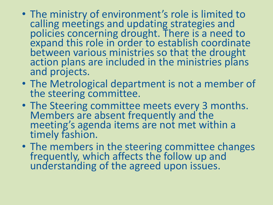- The ministry of environment's role is limited to calling meetings and updating strategies and policies concerning drought. There is a need to expand this role in order to establish coordinate between various ministries so that the drought action plans are included in the ministries plans and projects.
- The Metrological department is not a member of the steering committee.
- The Steering committee meets every 3 months. Members are absent frequently and the meeting's agenda items are not met within a timely fashion.
- The members in the steering committee changes frequently, which affects the follow up and understanding of the agreed upon issues.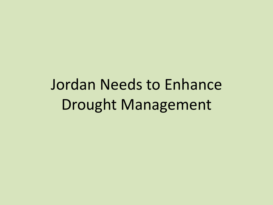Jordan Needs to Enhance Drought Management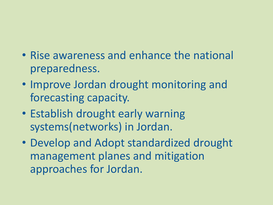#### • Rise awareness and enhance the national preparedness.

- Improve Jordan drought monitoring and forecasting capacity.
- Establish drought early warning systems(networks) in Jordan.
- Develop and Adopt standardized drought management planes and mitigation approaches for Jordan.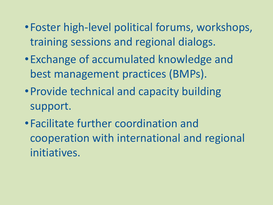- •Foster high-level political forums, workshops, training sessions and regional dialogs.
- •Exchange of accumulated knowledge and best management practices (BMPs).
- •Provide technical and capacity building support.
- •Facilitate further coordination and cooperation with international and regional initiatives.